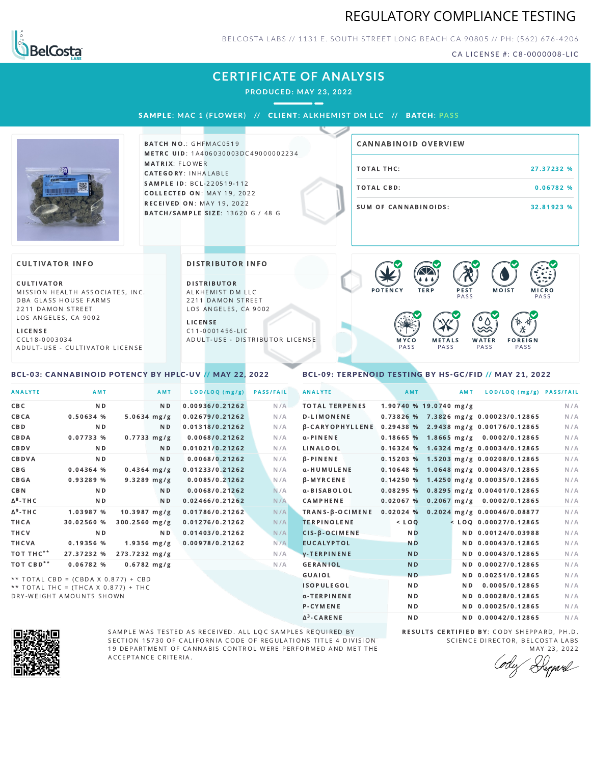# REGULATORY COMPLIANCE TESTING



BELCOSTA LABS // 1131 E. SOUTH STREET LONG BEACH CA 90805 // PH: (562) 676-4206

CA LICENSE #: C8-0000008-LIC

# **CERTIFICATE OF ANALYSIS**

**PRODUCED: MAY 23, 2022**

 $\sim$ 

SAMPL E **: MAC 1 ( F LOWER) //** CL I ENT**: A LKHEMI ST DM L LC //** BATCH**: PA S S**



**BATCH NO.: GHFMAC0519** METRC UID: 1A406030003DC49000002234 MATRIX: FLOWER CATEGORY: INHALABLE SAMPLE ID: BCL-220519-112 COLLECTED ON: MAY 19, 2022 RECEIVED ON: MAY 19, 2022 BATCH/SAMPLE SIZE: 13620 G / 48 G

| <b>CANNABINOID OVERVIEW</b> |            |
|-----------------------------|------------|
| TOTAL THC:                  | 27.37232 % |
| TOTAL CBD:                  | 0.06782%   |
| SUM OF CANNABINOIDS:        | 32.81923 % |

#### **CULTIVATOR INFO**

CULTIVATOR MISSION HEALTH ASSOCIATES, INC. DBA GLASS HOUSE FARMS 2211 DAMON STREET LOS ANGELES, CA 9002

L I C E N S E

C C L 1 8 - 0 0 0 3 0 3 4 A D U L T - U S E - C U L T I V A T O R L I CENSE

<span id="page-0-0"></span>BCL-03: CANNABINOID POTENCY BY HPLC-UV // MAY 22, 2022

#### DISTRIBUTOR INFO

D I STRIBUTOR ALKHEMIST DM LLC 2211 DAMON STREET LOS ANGELES, CA 9002

L I C E N S E C 1 1 - 0 0 0 1 4 5 6 - L I C A D U L T - U S E - D I STRIBUTOR LICENSE



### <span id="page-0-1"></span>BCL-09: TERPENOID TESTING BY HS-GC/FID // MAY 21, 2022

| <b>ANALYTE</b>        | AMT                                 |                 | AMT            | LOD/LOQ (mg/g)  | <b>PASS/FAIL</b> | <b>ANALYTE</b>                                        | AMT                    | <b>AMT</b> | LOD/LOQ (mg/g) PASS/FAIL                |     |
|-----------------------|-------------------------------------|-----------------|----------------|-----------------|------------------|-------------------------------------------------------|------------------------|------------|-----------------------------------------|-----|
| CBC                   | N <sub>D</sub>                      |                 | N <sub>D</sub> | 0.00936/0.21262 | N/A              | <b>TOTAL TERPENES</b>                                 | 1.90740 % 19.0740 mg/g |            |                                         | N/A |
| CBCA                  | 0.50634 %                           |                 | $5.0634$ mg/g  | 0.02679/0.21262 | N/A              | <b>D-LIMONENE</b>                                     |                        |            | 0.73826 % 7.3826 mg/g 0.00023/0.12865   | N/A |
| <b>CBD</b>            | N <sub>D</sub>                      |                 | N <sub>D</sub> | 0.01318/0.21262 | N/A              | B-CARYOPHYLLENE 0.29438 % 2.9438 mg/g 0.00176/0.12865 |                        |            |                                         | N/A |
| CBDA                  | 0.07733%                            |                 | $0.7733$ mg/g  | 0.0068/0.21262  | N/A              | $\alpha$ -PINENE                                      |                        |            | $0.18665$ % 1.8665 mg/g 0.0002/0.12865  | N/A |
| CBDV                  | N <sub>D</sub>                      |                 | N <sub>D</sub> | 0.01021/0.21262 | N/A              | LINALOOL                                              |                        |            | $0.16324$ % 1.6324 mg/g 0.00034/0.12865 | N/A |
| CBDVA                 | N <sub>D</sub>                      |                 | N <sub>D</sub> | 0.0068/0.21262  | N/A              | $\beta$ -PINENE                                       |                        |            | 0.15203 % 1.5203 mg/g 0.00208/0.12865   | N/A |
| C B G                 | 0.04364%                            |                 | $0.4364$ mg/g  | 0.01233/0.21262 | N/A              | α-HUMULENE                                            |                        |            | $0.10648$ % 1.0648 mg/g 0.00043/0.12865 | N/A |
| <b>CBGA</b>           | 0.93289 %                           |                 | $9.3289$ mg/g  | 0.0085/0.21262  | N/A              | <b>B-MYRCENE</b>                                      |                        |            | 0.14250 % 1.4250 mg/g 0.00035/0.12865   | N/A |
| CBN                   | N <sub>D</sub>                      |                 | N <sub>D</sub> | 0.0068/0.21262  | N/A              | α-BISABOLOL                                           |                        |            | 0.08295 % 0.8295 mg/g 0.00401/0.12865   | N/A |
| $\Delta^8$ -THC       | N <sub>D</sub>                      |                 | N <sub>D</sub> | 0.02466/0.21262 | N/A              | <b>CAMPHENE</b>                                       | 0.02067%               |            | $0.2067$ mg/g $0.0002/0.12865$          | N/A |
| $\Delta^9$ -THC       | 1.03987 %                           |                 | $10.3987$ mg/g | 0.01786/0.21262 | N/A              | TRANS-B-OCIMENE                                       |                        |            | $0.02024$ % 0.2024 mg/g 0.00046/0.08877 | N/A |
| THCA                  | 30.02560 %                          | $300.2560$ mg/g |                | 0.01276/0.21262 | N/A              | <b>TERPINOLENE</b>                                    | $<$ LOO                |            | $<$ LOQ 0.00027/0.12865                 | N/A |
| THCV                  | <b>ND</b>                           |                 | N <sub>D</sub> | 0.01403/0.21262 | N/A              | $CIS-B-OCIMENE$                                       | <b>ND</b>              |            | ND 0.00124/0.03988                      | N/A |
| <b>THCVA</b>          | 0.19356 %                           |                 | $1.9356$ mg/g  | 0.00978/0.21262 | N/A              | <b>EUCALYPTOL</b>                                     | <b>ND</b>              |            | ND 0.00043/0.12865                      | N/A |
| TOT THC <sup>**</sup> | 27.37232 %                          | 273.7232 mg/g   |                |                 | N/A              | <b>V-TERPINENE</b>                                    | N <sub>D</sub>         |            | ND 0.00043/0.12865                      | N/A |
| TOT CBD <sup>**</sup> | 0.06782%                            |                 | $0.6782$ mg/g  |                 | N/A              | <b>GERANIOL</b>                                       | N <sub>D</sub>         |            | ND 0.00027/0.12865                      | N/A |
|                       | ** TOTAL CBD = (CBDA X 0.877) + CBD |                 |                |                 |                  | GUAIOL                                                | <b>ND</b>              |            | ND 0.00251/0.12865                      | N/A |
|                       | ** TOTAL THC = (THCA X 0.877) + THC |                 |                |                 |                  | <b>ISOPULEGOL</b>                                     | N <sub>D</sub>         | ND.        | 0.0005/0.12865                          | N/A |
|                       | DRY-WEIGHT AMOUNTS SHOWN            |                 |                |                 |                  | α-TERPINENE                                           | <b>ND</b>              |            | ND 0.00028/0.12865                      | N/A |

Δ 3

SAMPLE WAS TESTED AS RECEIVED. ALL LQC SAMPLES REQUIRED BY SECTION 15730 OF CALIFORNIA CODE OF REGULATIONS TITLE 4 DIVISION 19 DEPARTMENT OF CANNABIS CONTROL WERE PERFORMED AND MET THE A C C E P T A N C E C R I T E R I A.

RESULTS CERTIFIED BY: CODY SHEPPARD, PH.D. SCIENCE DIRECTOR, BELCOSTA LABS MAY 23, 2022

ND ND 0.00042/0.12865 N/A

P-CYMENE ND ND ND 0.00025/0.12865 N/A

Depard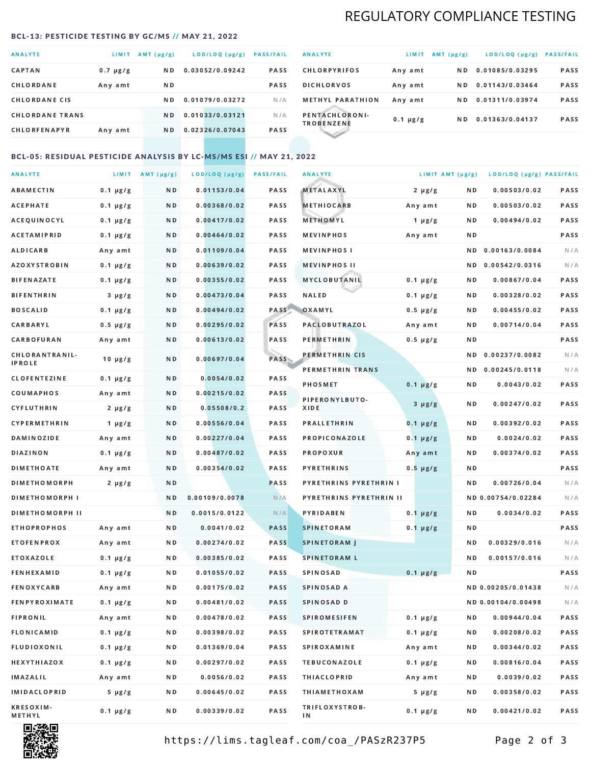# REGULATORY COMPLIANCE TESTING

#### <span id="page-1-0"></span>BCL-13: PESTICIDE TESTING BY GC/MS // MAY 21, 2022

| <b>ANALYTE</b>         | LIMIT         | $AMT(\mu g/g)$ | LOD/LOQ (µg/g)  | <b>PASS/FAIL</b> |
|------------------------|---------------|----------------|-----------------|------------------|
| <b>CAPTAN</b>          | $0.7 \mu g/g$ | N <sub>D</sub> | 0.03052/0.09242 | <b>PASS</b>      |
| CHLORDANE              | Any amt       | N D            |                 | <b>PASS</b>      |
| <b>CHLORDANE CIS</b>   |               | N D            | 0.01079/0.03272 | N/A              |
| <b>CHLORDANE TRANS</b> |               | N <sub>D</sub> | 0.01033/0.03121 | N/A              |
| <b>CHLORFENAPYR</b>    | Any amt       | N D            | 0.02326/0.07043 | <b>PASS</b>      |

| <b>ANALYTE</b>                      | LIMIT         | AMT (µg/g) | LOD/LOQ (µg/g)  | <b>PASS/FAIL</b> |
|-------------------------------------|---------------|------------|-----------------|------------------|
| <b>CHLORPYRIFOS</b>                 | Any amt       | N D        | 0.01085/0.03295 | <b>PASS</b>      |
| <b>DICHLORVOS</b>                   | Any amt       | N D        | 0.01143/0.03464 | <b>PASS</b>      |
| <b>METHYL PARATHION</b>             | Any amt       | ND.        | 0.01311/0.03974 | PASS             |
| PENTACHLORONI-<br><b>TROBENZENE</b> | $0.1 \mu g/g$ | ND.        | 0.01363/0.04137 | <b>PASS</b>      |
|                                     |               |            |                 |                  |

### BCL-05: RESIDUAL PESTICIDE ANALYSIS BY LC-MS/MS ESI // MAY 21, 2022

| <b>ANALYTE</b>             |               | LIMIT AMT $(\mu g/g)$ | LOD/LOQ (µg/g) | <b>PASS/FAIL</b> | <b>ANALYTE</b>          | LIMIT AMT (µg/g) |     | LOD/LOQ (µg/g) PASS/FAIL |      |
|----------------------------|---------------|-----------------------|----------------|------------------|-------------------------|------------------|-----|--------------------------|------|
| ABAMECTIN                  | $0.1 \mu g/g$ | N D                   | 0.01153/0.04   | PASS             | <b>METALAXYL</b>        | $2 \mu g/g$      | N D | 0.00503/0.02             | PASS |
| <b>ACEPHATE</b>            | $0.1 \mu g/g$ | N D                   | 0.00368/0.02   | PASS             | <b>METHIOCARB</b>       | Any amt          | N D | 0.00503/0.02             | PASS |
| ACEQUINOCYL                | $0.1 \mu g/g$ | N D                   | 0.00417/0.02   | PASS             | METHOMYL                | 1 $\mu$ g/g      | N D | 0.00494/0.02             | PASS |
| <b>ACETAMIPRID</b>         | $0.1 \mu g/g$ | N D                   | 0.00464/0.02   | PASS             | <b>MEVINPHOS</b>        | Any amt          | N D |                          | PASS |
| ALDICARB                   | Any amt       | N D                   | 0.01109/0.04   | PASS             | <b>MEVINPHOSI</b>       |                  | N D | 0.00163/0.0084           | N/A  |
| AZOXYSTROBIN               | $0.1 \mu g/g$ | N D                   | 0.00639/0.02   | PASS             | <b>MEVINPHOS II</b>     |                  | N D | 0.00542/0.0316           | N/A  |
| <b>BIFENAZATE</b>          | $0.1 \mu g/g$ | N D                   | 0.00355/0.02   | PASS             | MYCLOBUTANIL            | $0.1 \mu g/g$    | N D | 0.00867/0.04             | PASS |
| <b>BIFENTHRIN</b>          | $3 \mu g/g$   | N D                   | 0.00473/0.04   | PASS             | <b>NALED</b>            | $0.1 \mu g/g$    | N D | 0.00328/0.02             | PASS |
| <b>BOSCALID</b>            | $0.1 \mu g/g$ | N D                   | 0.00494/0.02   | PASS             | OXAMYL                  | $0.5 \mu g/g$    | N D | 0.00455/0.02             | PASS |
| CARBARYL                   | $0.5 \mu g/g$ | N D                   | 0.00295/0.02   | PASS             | <b>PACLOBUTRAZOL</b>    | Any amt          | N D | 0.00714/0.04             | PASS |
| CARBOFURAN                 | Any amt       | N D                   | 0.00613/0.02   | PASS             | <b>PERMETHRIN</b>       | $0.5 \mu g/g$    | N D |                          | PASS |
| CHLORANTRANIL-             | $10 \mu g/g$  | N D                   | 0.00697/0.04   | PASS             | PERMETHRIN CIS          |                  | N D | 0.00237/0.0082           | N/A  |
| <b>IPROLE</b>              |               |                       |                |                  | PERMETHRIN TRANS        |                  |     | ND 0.00245/0.0118        | N/A  |
| <b>CLOFENTEZINE</b>        | $0.1 \mu g/g$ | N D                   | 0.0054/0.02    | PASS             | <b>PHOSMET</b>          | $0.1 \mu g/g$    | N D | 0.0043/0.02              | PASS |
| COUMAPHOS                  | Any amt       | N D                   | 0.00215/0.02   | <b>PASS</b>      | PIPERONYLBUTO-          | $3 \mu g/g$      | N D | 0.00247/0.02             | PASS |
| CYFLUTHRIN                 | $2 \mu g/g$   | N D                   | 0.05508/0.2    | <b>PASS</b>      | XIDE                    |                  |     |                          |      |
| <b>CYPERMETHRIN</b>        | 1 $\mu$ g/g   | N D                   | 0.00556/0.04   | PASS             | <b>PRALLETHRIN</b>      | $0.1 \mu g/g$    | N D | 0.00392/0.02             | PASS |
| <b>DAMINOZIDE</b>          | Any amt       | N D                   | 0.00227/0.04   | PASS             | PROPICONAZOLE           | $0.1 \mu g/g$    | N D | 0.0024/0.02              | PASS |
| DIAZINON                   | $0.1 \mu g/g$ | N D                   | 0.00487/0.02   | <b>PASS</b>      | <b>PROPOXUR</b>         | Any amt          | N D | 0.00374/0.02             | PASS |
| <b>DIMETHOATE</b>          | Any amt       | N D                   | 0.00354/0.02   | PASS             | <b>PYRETHRINS</b>       | $0.5 \mu g/g$    | N D |                          | PASS |
| <b>DIMETHOMORPH</b>        | $2 \mu g/g$   | N D                   |                | PASS             | PYRETHRINS PYRETHRIN I  |                  | N D | 0.00726/0.04             | N/A  |
| <b>DIMETHOMORPH I</b>      |               | N D                   | 0.00109/0.0078 | N/A              | PYRETHRINS PYRETHRIN II |                  |     | ND 0.00754/0.02284       | N/A  |
| <b>DIMETHOMORPH II</b>     |               | ND                    | 0.0015/0.0122  | N/A              | PYRIDABEN               | $0.1 \mu g/g$    | N D | 0.0034/0.02              | PASS |
| <b>ETHOPROPHOS</b>         | Any amt       | N D                   | 0.0041/0.02    | <b>PASS</b>      | <b>SPINETORAM</b>       | $0.1 \mu g/g$    | N D |                          | PASS |
| <b>ETOFENPROX</b>          | Any amt       | N D                   | 0.00274/0.02   | <b>PASS</b>      | <b>SPINETORAM J</b>     |                  | N D | 0.00329/0.016            | N/A  |
| <b>ETOXAZOLE</b>           | $0.1 \mu g/g$ | N D                   | 0.00385/0.02   | PASS             | <b>SPINETORAM L</b>     |                  | ND. | 0.00157/0.016            | N/A  |
| <b>FENHEXAMID</b>          | $0.1 \mu g/g$ | N D                   | 0.01055/0.02   | <b>PASS</b>      | <b>SPINOSAD</b>         | $0.1 \mu g/g$    | N D |                          | PASS |
| <b>FENOXYCARB</b>          | Any amt       | N D                   | 0.00175/0.02   | <b>PASS</b>      | SPINOSAD A              |                  |     | ND 0.00205/0.01438       | N/A  |
| <b>FENPYROXIMATE</b>       | $0.1 \mu g/g$ | N D                   | 0.00481/0.02   | PASS             | SPINOSAD D              |                  |     | ND 0.00104/0.00498       | N/A  |
| <b>FIPRONIL</b>            | Any amt       | N D                   | 0.00478/0.02   | PASS             | <b>SPIROMESIFEN</b>     | $0.1 \mu g/g$    | ND. | 0.00944/0.04             | PASS |
| FLONICAMID                 | $0.1 \mu g/g$ | N D                   | 0.00398/0.02   | PASS             | <b>SPIROTETRAMAT</b>    | $0.1 \mu g/g$    | N D | 0.00208/0.02             | PASS |
| <b>FLUDIOXONIL</b>         | $0.1 \mu g/g$ | N D                   | 0.01369/0.04   | PASS             | SPIROXAMINE             | Any amt          | N D | 0.00344/0.02             | PASS |
| HEXYTHIAZOX                | $0.1 \mu g/g$ | N D                   | 0.00297/0.02   | PASS             | <b>TEBUCONAZOLE</b>     | $0.1 \mu g/g$    | N D | 0.00816/0.04             | PASS |
| <b>IMAZALIL</b>            | Any amt       | N D                   | 0.0056/0.02    | PASS             | <b>THIACLOPRID</b>      | Any amt          | N D | 0.0039/0.02              | PASS |
| IMIDACLOPRID               | $5 \mu g/g$   | N D                   | 0.00645/0.02   | PASS             | <b>THIAMETHOXAM</b>     | $5 \mu g/g$      | N D | 0.00358/0.02             | PASS |
| <b>KRESOXIM-</b><br>METHYL | $0.1 \mu g/g$ | N D                   | 0.00339/0.02   | PASS             | TRIFLOXYSTROB-<br>ΙN    | $0.1 \mu g/g$    | N D | 0.00421/0.02             | PASS |